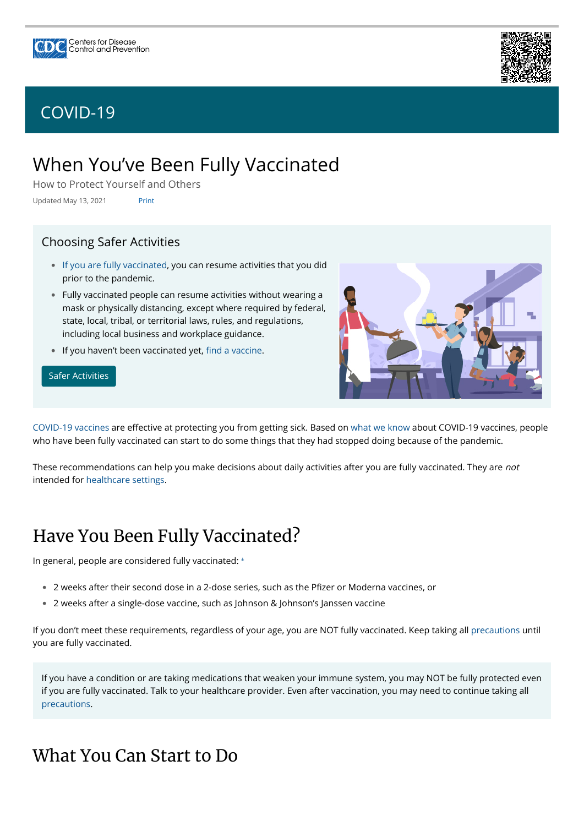# When You've Been Fully Vaccinated

How to Protect Yourself and Others

Updated May 13, 2021 Print

[COVID-19 vaccines](https://www.cdc.gov/coronavirus/2019-ncov/vaccines/keythingstoknow.html) are effective at protecting you from getting sick. Based on [what we know](https://www.cdc.gov/coronavirus/2019-ncov/vaccines/keythingstoknow.html) about COVID-19 vaccines, people who have been fully vaccinated can start to do some things that they had stopped doing because of the pandemic.

These recommendations can help you make decisions about daily activities after you are fully vaccinated. They are *not* intended for [healthcare settings](https://www.cdc.gov/coronavirus/2019-ncov/hcp/infection-control-after-vaccination.html).

### Choosing Safer Activities

- [If you are fully vaccinated,](#page-0-0) you can resume activities that you did prior to the pandemic.
- $\bullet$  Fully vaccinated people can resume activities without wearing a mask or physically distancing, except where required by federal, state, local, tribal, or territorial laws, rules, and regulations, including local business and workplace guidance.
- $\bullet$  If you haven't been vaccinated yet, fi[nd a vaccine.](https://www.cdc.gov/coronavirus/2019-ncov/vaccines/How-Do-I-Get-a-COVID-19-Vaccine.html)

- $\bullet$  2 weeks after their second dose in a 2-dose series, such as the Pfizer or Moderna vaccines, or
- 2 weeks after a single-dose vaccine, such as Johnson & Johnson's Janssen vaccine •

#### [Safer Activities](https://www.cdc.gov/coronavirus/2019-ncov/daily-life-coping/participate-in-activities.html)



# <span id="page-0-0"></span>Have You Been Fully Vaccinated?

In general, people are considered fully vaccinated:  $^{\scriptscriptstyle \pm}$ 

If you don't meet these requirements, regardless of your age, you are NOT fully vaccinated. Keep taking all [precautions](https://www.cdc.gov/coronavirus/2019-ncov/prevent-getting-sick/prevention.html) until you are fully vaccinated.

If you have a condition or are taking medications that weaken your immune system, you may NOT be fully protected even if you are fully vaccinated. Talk to your healthcare provider. Even after vaccination, you may need to continue taking all [precautions.](https://www.cdc.gov/coronavirus/2019-ncov/prevent-getting-sick/prevention.html)

### What You Can Start to Do





### [COVID-19](https://www.cdc.gov/coronavirus/2019-nCoV/index.html)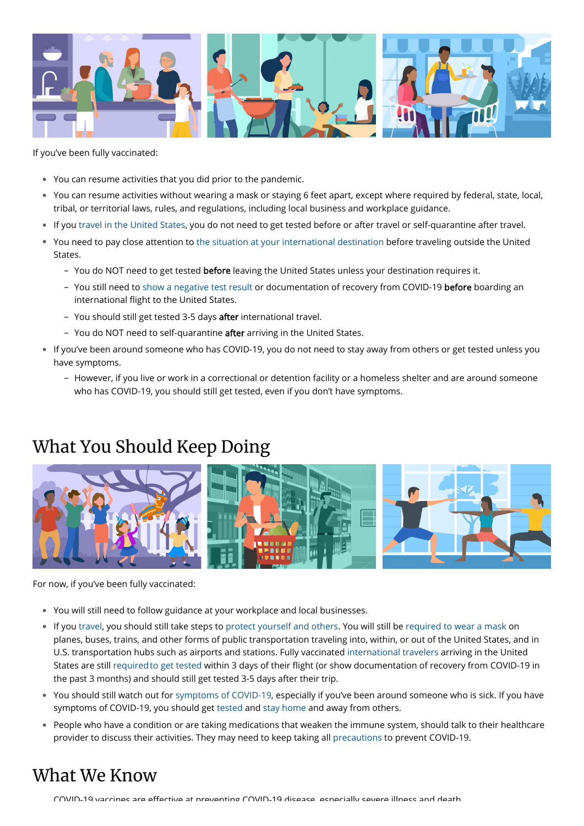

If you've been fully vaccinated:

- You can resume activities that you did prior to the pandemic. •
- You can resume activities without wearing a mask or staying 6 feet apart, except where required by federal, state, local, tribal, or territorial laws, rules, and regulations, including local business and workplace guidance.
- If you [travel in the United States](https://www.cdc.gov/coronavirus/2019-ncov/travelers/travel-during-covid19.html), you do not need to get tested before or after travel or self-quarantine after travel. •
- You need to pay close attention to [the situation at your international destination](https://www.cdc.gov/coronavirus/2019-ncov/travelers/map-and-travel-notices.html) before traveling outside the United States.
	- You do NOT need to get tested **before** leaving the United States unless your destination requires it.
	- You still need to [show a negative test result](https://www.cdc.gov/coronavirus/2019-ncov/travelers/testing-international-air-travelers.html) or documentation of recovery from COVID-19 **before** boarding an international flight to the United States.
	- You should still get tested 3-5 days <mark>after</mark> international travel.
	- You do NOT need to self-quarantine **after** arriving in the United States.
- $\bullet$  If you've been around someone who has COVID-19, you do not need to stay away from others or get tested unless you have symptoms.
	- However, if you live or work in a correctional or detention facility or a homeless shelter and are around someone who has COVID-19, you should still get tested, even if you don't have symptoms.

# What You Should Keep Doing



For now, if you've been fully vaccinated:

- You will still need to follow guidance at your workplace and local businesses. •
- $\bullet$  If you [travel](https://www.cdc.gov/coronavirus/2019-ncov/travelers/index.html), you should still take steps to [protect yourself and others.](https://www.cdc.gov/coronavirus/2019-ncov/prevent-getting-sick/prevention.html) You will still be [required to wear a mask o](https://www.cdc.gov/coronavirus/2019-ncov/travelers/face-masks-public-transportation.html)n planes, buses, trains, and other forms of public transportation traveling into, within, or out of the United States, and in U.S. transportation hubs such as airports and stations. Fully vaccinated [international travelers](https://www.cdc.gov/coronavirus/2019-ncov/travelers/international-travel-during-covid19.html) arriving in the United States are still [required to get tested](https://www.cdc.gov/coronavirus/2019-ncov/travelers/testing-international-air-travelers.html) within 3 days of their flight (or show documentation of recovery from COVID-19 in the past 3 months) and should still get tested 3-5 days after their trip.
- You should still watch out for [symptoms of COVID-19,](https://www.cdc.gov/coronavirus/2019-ncov/symptoms-testing/symptoms.html) especially if you've been around someone who is sick. If you have symptoms of COVID-19, you should get [tested](https://www.cdc.gov/coronavirus/2019-ncov/testing/diagnostic-testing.html) and [stay home](https://www.cdc.gov/coronavirus/2019-ncov/if-you-are-sick/isolation.html) and away from others.
- $\bullet$  People who have a condition or are taking medications that weaken the immune system, should talk to their healthcare provider to discuss their activities. They may need to keep taking all [precautions](https://www.cdc.gov/coronavirus/2019-ncov/prevent-getting-sick/prevention.html) to prevent COVID-19.

### What We Know

COVID-19 vaccines are effective at preventing COVID-19 disease especially severe illness and death